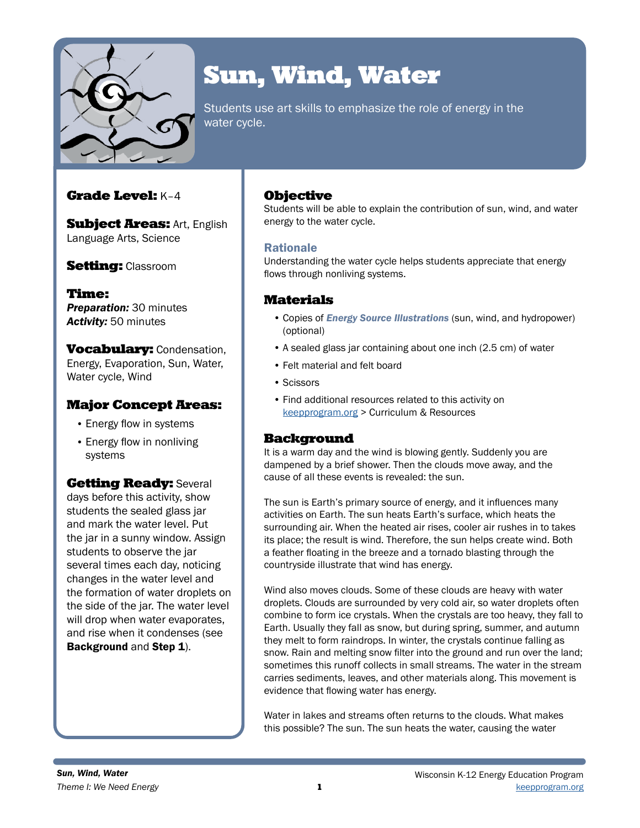

# Sun, Wind, Water

Students use art skills to emphasize the role of energy in the water cycle.

## Grade Level: K–4

**Subject Areas: Art, English** Language Arts, Science

## **Setting: Classroom**

Time: *Preparation:* 30 minutes *Activity:* 50 minutes

**Vocabulary: Condensation,** Energy, Evaporation, Sun, Water, Water cycle, Wind

## Major Concept Areas:

- Energy flow in systems
- Energy flow in nonliving systems

**Getting Ready: Several** days before this activity, show students the sealed glass jar and mark the water level. Put the jar in a sunny window. Assign students to observe the jar several times each day, noticing changes in the water level and the formation of water droplets on the side of the jar. The water level will drop when water evaporates, and rise when it condenses (see Background and Step 1).

## **Objective**

Students will be able to explain the contribution of sun, wind, and water energy to the water cycle.

## Rationale

Understanding the water cycle helps students appreciate that energy flows through nonliving systems.

## Materials

- Copies of *Energy Source Illustrations* (sun, wind, and hydropower) (optional)
- A sealed glass jar containing about one inch (2.5 cm) of water
- Felt material and felt board
- Scissors
- Find additional resources related to this activity on [keepprogram.org](http://keepprogram.org) > Curriculum & Resources

## **Background**

It is a warm day and the wind is blowing gently. Suddenly you are dampened by a brief shower. Then the clouds move away, and the cause of all these events is revealed: the sun.

The sun is Earth's primary source of energy, and it influences many activities on Earth. The sun heats Earth's surface, which heats the surrounding air. When the heated air rises, cooler air rushes in to takes its place; the result is wind. Therefore, the sun helps create wind. Both a feather floating in the breeze and a tornado blasting through the countryside illustrate that wind has energy.

Wind also moves clouds. Some of these clouds are heavy with water droplets. Clouds are surrounded by very cold air, so water droplets often combine to form ice crystals. When the crystals are too heavy, they fall to Earth. Usually they fall as snow, but during spring, summer, and autumn they melt to form raindrops. In winter, the crystals continue falling as snow. Rain and melting snow filter into the ground and run over the land; sometimes this runoff collects in small streams. The water in the stream carries sediments, leaves, and other materials along. This movement is evidence that flowing water has energy.

Water in lakes and streams often returns to the clouds. What makes this possible? The sun. The sun heats the water, causing the water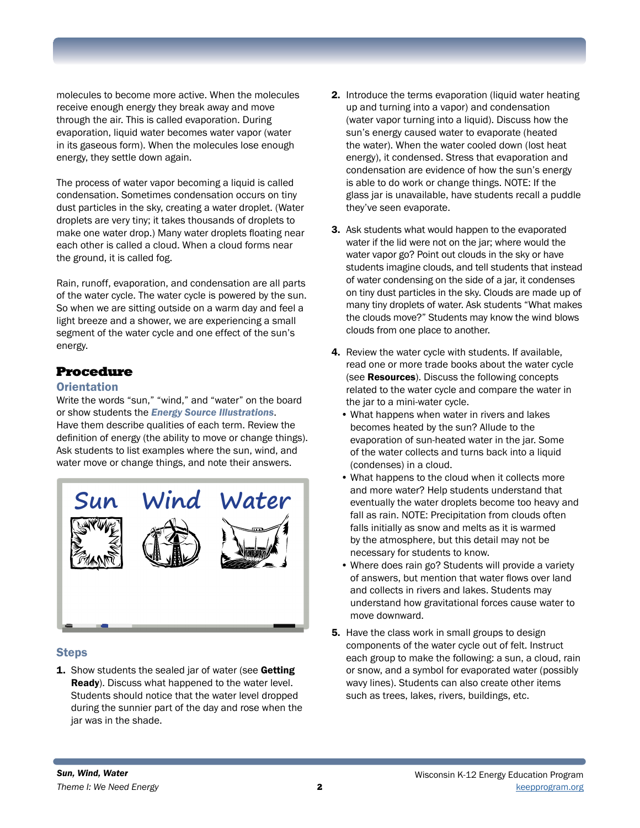molecules to become more active. When the molecules receive enough energy they break away and move through the air. This is called evaporation. During evaporation, liquid water becomes water vapor (water in its gaseous form). When the molecules lose enough energy, they settle down again.

The process of water vapor becoming a liquid is called condensation. Sometimes condensation occurs on tiny dust particles in the sky, creating a water droplet. (Water droplets are very tiny; it takes thousands of droplets to make one water drop.) Many water droplets floating near each other is called a cloud. When a cloud forms near the ground, it is called fog.

Rain, runoff, evaporation, and condensation are all parts of the water cycle. The water cycle is powered by the sun. So when we are sitting outside on a warm day and feel a light breeze and a shower, we are experiencing a small segment of the water cycle and one effect of the sun's energy.

## Procedure

#### **Orientation**

Write the words "sun," "wind," and "water" on the board or show students the *Energy Source Illustrations*. Have them describe qualities of each term. Review the definition of energy (the ability to move or change things). Ask students to list examples where the sun, wind, and water move or change things, and note their answers.



#### **Steps**

**1.** Show students the sealed jar of water (see Getting Ready). Discuss what happened to the water level. Students should notice that the water level dropped during the sunnier part of the day and rose when the jar was in the shade.

- 2. Introduce the terms evaporation (liquid water heating up and turning into a vapor) and condensation (water vapor turning into a liquid). Discuss how the sun's energy caused water to evaporate (heated the water). When the water cooled down (lost heat energy), it condensed. Stress that evaporation and condensation are evidence of how the sun's energy is able to do work or change things. NOTE: If the glass jar is unavailable, have students recall a puddle they've seen evaporate.
- 3. Ask students what would happen to the evaporated water if the lid were not on the jar; where would the water vapor go? Point out clouds in the sky or have students imagine clouds, and tell students that instead of water condensing on the side of a jar, it condenses on tiny dust particles in the sky. Clouds are made up of many tiny droplets of water. Ask students "What makes the clouds move?" Students may know the wind blows clouds from one place to another.
- 4. Review the water cycle with students. If available, read one or more trade books about the water cycle (see **Resources**). Discuss the following concepts related to the water cycle and compare the water in the jar to a mini-water cycle.
	- What happens when water in rivers and lakes becomes heated by the sun? Allude to the evaporation of sun-heated water in the jar. Some of the water collects and turns back into a liquid (condenses) in a cloud.
	- What happens to the cloud when it collects more and more water? Help students understand that eventually the water droplets become too heavy and fall as rain. NOTE: Precipitation from clouds often falls initially as snow and melts as it is warmed by the atmosphere, but this detail may not be necessary for students to know.
	- Where does rain go? Students will provide a variety of answers, but mention that water flows over land and collects in rivers and lakes. Students may understand how gravitational forces cause water to move downward.
- **5.** Have the class work in small groups to design components of the water cycle out of felt. Instruct each group to make the following: a sun, a cloud, rain or snow, and a symbol for evaporated water (possibly wavy lines). Students can also create other items such as trees, lakes, rivers, buildings, etc.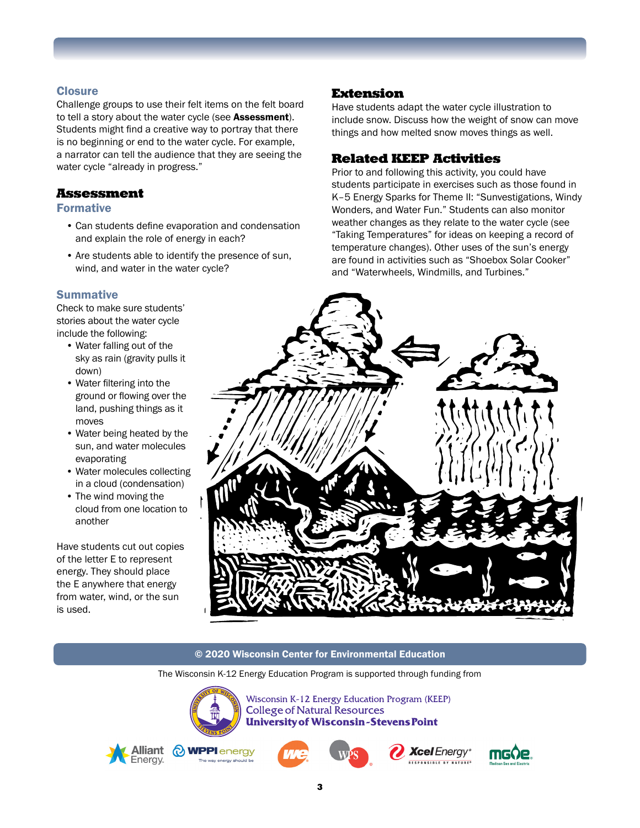#### **Closure**

Challenge groups to use their felt items on the felt board to tell a story about the water cycle (see Assessment). Students might find a creative way to portray that there is no beginning or end to the water cycle. For example, a narrator can tell the audience that they are seeing the water cycle "already in progress."

#### Assessment

#### Formative

- Can students define evaporation and condensation and explain the role of energy in each?
- Are students able to identify the presence of sun, wind, and water in the water cycle?

#### **Summative**

Check to make sure students' stories about the water cycle include the following:

- Water falling out of the sky as rain (gravity pulls it down)
- Water filtering into the ground or flowing over the land, pushing things as it moves
- Water being heated by the sun, and water molecules evaporating
- Water molecules collecting in a cloud (condensation)
- The wind moving the cloud from one location to another

Have students cut out copies of the letter E to represent energy. They should place the E anywhere that energy from water, wind, or the sun is used.

### Extension

Have students adapt the water cycle illustration to include snow. Discuss how the weight of snow can move things and how melted snow moves things as well.

## Related KEEP Activities

Prior to and following this activity, you could have students participate in exercises such as those found in K–5 Energy Sparks for Theme II: "Sunvestigations, Windy Wonders, and Water Fun." Students can also monitor weather changes as they relate to the water cycle (see "Taking Temperatures" for ideas on keeping a record of temperature changes). Other uses of the sun's energy are found in activities such as "Shoebox Solar Cooker" and "Waterwheels, Windmills, and Turbines."



#### © 2020 Wisconsin Center for Environmental Education

The Wisconsin K-12 Energy Education Program is supported through funding from



Wisconsin K-12 Energy Education Program (KEEP) **College of Natural Resources University of Wisconsin-Stevens Point** 



MPPI energy